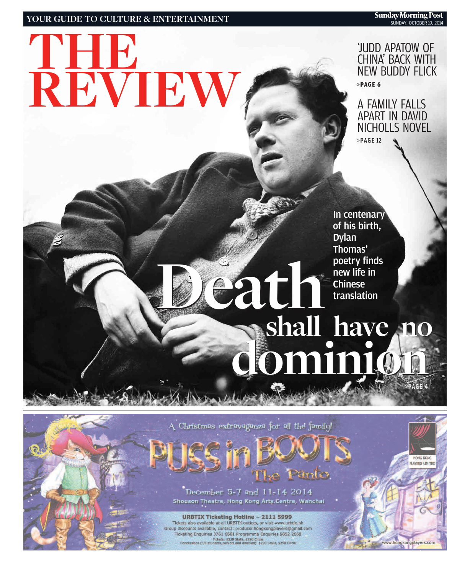### **YOUR GUIDE TO CULTURE & ENTERTAINMENT**

**REVIEW**

**THE**

'JUDD APATOW OF CHINA' BACK WITH NEW BUDDY FLICK **>PAGE 6**

A FAMILY FALLS APART IN DAVID NICHOLLS NOVEL >PAGE 12

In centenary of his birth, Dylan Thomas' poetry finds new life in<br>Chinese **Death**<br> **Death**<br> **Death**<br> **Death**<br> **Chinese**<br> **Chinese**<br> **Chinese**<br> **Chinese** 

## **shall have no shall have no dominion dominion** >PAGE 4

A Christmas extravaganza for all the family!

## Panto.

December 5-7 and 11-14 2014 Shouson Theatre, Hong Kong Arts Centre, Wanchai

**URBTIX Ticketing Hotline - 2111 5999** Tickets also available at all URBTIX outlets, or visit www.urbtix.hk Group discounts available, contact: producer.hongkongplayers@gmail.com Ticketing Enquiries 3761 6661 Programme Enquiries 9852 2668 Tickets: \$330 Stalls, \$290 Circle<br>Concessions (F/T students, seniors and disabled): \$290 Stalls, \$250 Circle

**NAVERS LIMITED**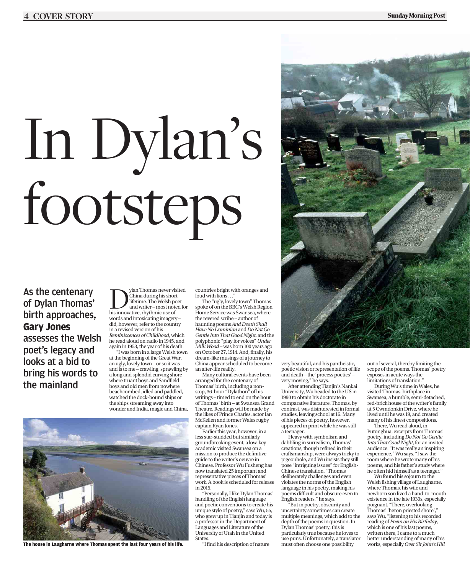# In Dylan's footsteps

As the centenary of Dylan Thomas' birth approaches, **Gary Jones** assesses the Welsh poet's legacy and looks at a bid to bring his words to the mainland

 $\fbox{D} \begin{tabular}{|c|} \hline \textbf{N} & \textbf{N} & \textbf{N} & \textbf{N} \\ \hline \textbf{N} & \textbf{N} & \textbf{N} & \textbf{N} \\ \textbf{N} & \textbf{N} & \textbf{N} & \textbf{N} \\ \textbf{N} & \textbf{N} & \textbf{N} & \textbf{N} \\ \textbf{N} & \textbf{N} & \textbf{N} & \textbf{N} \\ \textbf{N} & \textbf{N} & \textbf{N} & \textbf{N} \\ \textbf{N} & \textbf{N} & \textbf{N} & \textbf{N} & \textbf{$ China during his short lifetime. The Welsh poet and writer – most noted for his innovative, rhythmic use of words and intoxicating imagery – did, however, refer to the country in a revised version of his *Reminiscences of Childhood*, which he read aloud on radio in 1945, and again in 1953, the year of his death.

"I was born in a large Welsh town at the beginning of the Great War, an ugly, lovely town – or so it was and is to me – crawling, sprawling by a long and splendid curving shore where truant boys and Sandfield boys and old men from nowhere beachcombed, idled and paddled, watched the dock-bound ships or the ships streaming away into wonder and India, magic and China,

**The house in Laugharne where Thomas spent the last four years of his life.** 

countries bright with oranges and loud with lions …"

The "ugly, lovely town" Thomas spoke of on the BBC's Welsh Region Home Service was Swansea, where the revered scribe – author of haunting poems *And Death Shall Have No Dominion* and *Do Not Go Gentle Into That Good Night*, and the polyphonic "play for voices" *Under Milk Wood* – was born 100 years ago on October 27, 1914. And, finally, his dream-like musings of a journey to China appear scheduled to become an after-life reality.

Many cultural events have been arranged for the centenary of Thomas' birth, including a nonstop, 36-hour "Dylathon" of his writings – timed to end on the hour of Thomas' birth – at Swansea Grand Theatre. Readings will be made by the likes of Prince Charles, actor Ian McKellen and former Wales rugby captain Ryan Jones.

Earlier this year, however, in a less star-studded but similarly groundbreaking event, a low-key academic visited Swansea on a mission to produce the definitive guide to the writer's oeuvre in Chinese. Professor Wu Fusheng has now translated 25 important and representative pieces of Thomas' work. A book is scheduled for release in 2015.

"Personally, I like Dylan Thomas' handling of the English language and poetic conventions to create his unique style of poetry," says Wu, 55, who grew up in Tianjin and today is a professor in the Department of Languages and Literature of the University of Utah in the United **States** 

"I find his description of nature



very beautiful, and his pantheistic, poetic vision or representation of life and death – the 'process poetics' – very moving," he says.

After attending Tianjin's Nankai University, Wu headed to the US in 1990 to obtain his doctorate in comparative literature. Thomas, by contrast, was disinterested in formal studies, leaving school at 16. Many of his pieces of poetry, however, appeared in print while he was still a teenager.

Heavy with symbolism and dabbling in surrealism, Thomas' creations, though refined in their craftsmanship, were always tricky to pigeonhole, and Wu insists they still pose "intriguing issues" for English-Chinese translation. "Thomas deliberately challenges and even violates the norms of the English language in his poetry, making his poems difficult and obscure even to English readers," he says.

"But in poetry, obscurity and uncertainty sometimes can create multiple meanings, which add to the depth of the poems in question. In Dylan Thomas' poetry, this is particularly true because he loves to use puns. Unfortunately, a translator must often choose one possibility

out of several, thereby limiting the scope of the poems. Thomas' poetry exposes in acute ways the limitations of translation.

During Wu's time in Wales, he visited Thomas' birthplace in Swansea, a humble, semi-detached, red-brick house of the writer's family at 5 Cwmdonkin Drive, where he lived until he was 19, and created many of his finest compositions.

There, Wu read aloud, in Putonghua, excerpts from Thomas' poetry, including *Do Not Go Gentle Into That Good Night*, for an invited audience. "It was really an inspiring experience," Wu says. "I saw the room where he wrote many of his poems, and his father's study where he often hid himself as a teenager.

Wu found his sojourn to the Welsh fishing village of Laugharne, where Thomas, his wife and newborn son lived a hand-to-mouth existence in the late 1930s, especially poignant. "There, overlooking Thomas' 'heron priested shore', says Wu, "listening to his recorded reading of *Poem on His Birthday*, which is one of his last poems, written there, I came to a much better understanding of many of his works, especially *Over Sir John's Hill*